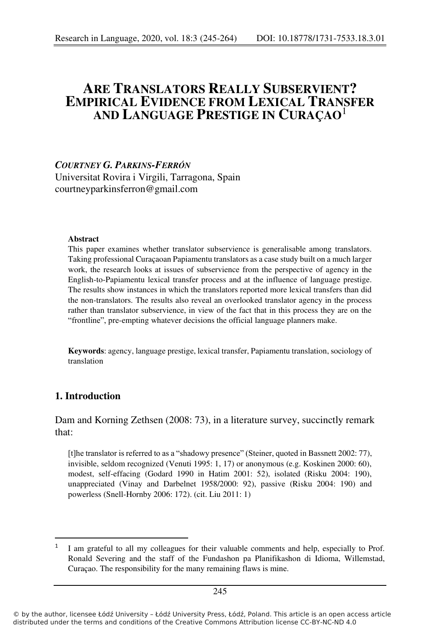# **ARE TRANSLATORS REALLY SUBSERVIENT? EMPIRICAL EVIDENCE FROM LEXICAL TRANSFER AND LANGUAGE PRESTIGE IN CURAÇAO**<sup>1</sup>

#### *COURTNEY G. PARKINS-FERRÓN*

Universitat Rovira i Virgili, Tarragona, Spain courtneyparkinsferron@gmail.com

#### **Abstract**

This paper examines whether translator subservience is generalisable among translators. Taking professional Curaçaoan Papiamentu translators as a case study built on a much larger work, the research looks at issues of subservience from the perspective of agency in the English-to-Papiamentu lexical transfer process and at the influence of language prestige. The results show instances in which the translators reported more lexical transfers than did the non-translators. The results also reveal an overlooked translator agency in the process rather than translator subservience, in view of the fact that in this process they are on the "frontline", pre-empting whatever decisions the official language planners make.

**Keywords**: agency, language prestige, lexical transfer, Papiamentu translation, sociology of translation

### **1. Introduction**

Dam and Korning Zethsen (2008: 73), in a literature survey, succinctly remark that:

[t]he translator is referred to as a "shadowy presence" (Steiner, quoted in Bassnett 2002: 77), invisible, seldom recognized (Venuti 1995: 1, 17) or anonymous (e.g. Koskinen 2000: 60), modest, self-effacing (Godard 1990 in Hatim 2001: 52), isolated (Risku 2004: 190), unappreciated (Vinay and Darbelnet 1958/2000: 92), passive (Risku 2004: 190) and powerless (Snell-Hornby 2006: 172). (cit. Liu 2011: 1)

<sup>1</sup> I am grateful to all my colleagues for their valuable comments and help, especially to Prof. Ronald Severing and the staff of the Fundashon pa Planifikashon di Idioma, Willemstad, Curaçao. The responsibility for the many remaining flaws is mine.

<sup>©</sup> by the author, licensee Łódź University – Łódź University Press, Łódź, Poland. This article is an open access article distributed under the terms and conditions of the Creative Commons Attribution license CC-BY-NC-ND 4.0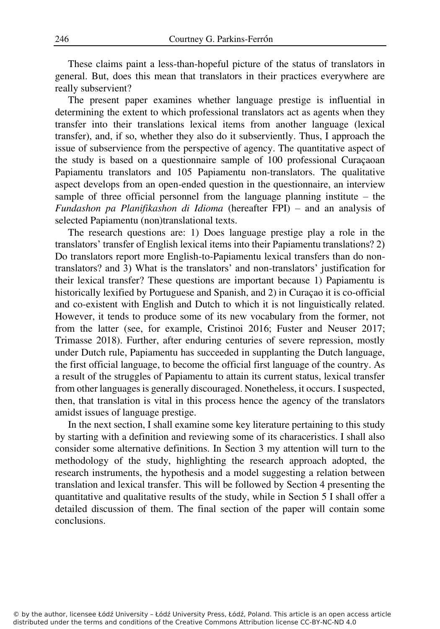These claims paint a less-than-hopeful picture of the status of translators in general. But, does this mean that translators in their practices everywhere are really subservient?

The present paper examines whether language prestige is influential in determining the extent to which professional translators act as agents when they transfer into their translations lexical items from another language (lexical transfer), and, if so, whether they also do it subserviently. Thus, I approach the issue of subservience from the perspective of agency. The quantitative aspect of the study is based on a questionnaire sample of 100 professional Curaçaoan Papiamentu translators and 105 Papiamentu non-translators. The qualitative aspect develops from an open-ended question in the questionnaire, an interview sample of three official personnel from the language planning institute – the *Fundashon pa Planifikashon di Idioma* (hereafter FPI) – and an analysis of selected Papiamentu (non)translational texts.

The research questions are: 1) Does language prestige play a role in the translators' transfer of English lexical items into their Papiamentu translations? 2) Do translators report more English-to-Papiamentu lexical transfers than do nontranslators? and 3) What is the translators' and non-translators' justification for their lexical transfer? These questions are important because 1) Papiamentu is historically lexified by Portuguese and Spanish, and 2) in Curaçao it is co-official and co-existent with English and Dutch to which it is not linguistically related. However, it tends to produce some of its new vocabulary from the former, not from the latter (see, for example, Cristinoi 2016; Fuster and Neuser 2017; Trimasse 2018). Further, after enduring centuries of severe repression, mostly under Dutch rule, Papiamentu has succeeded in supplanting the Dutch language, the first official language, to become the official first language of the country. As a result of the struggles of Papiamentu to attain its current status, lexical transfer from other languages is generally discouraged. Nonetheless, it occurs. I suspected, then, that translation is vital in this process hence the agency of the translators amidst issues of language prestige.

In the next section, I shall examine some key literature pertaining to this study by starting with a definition and reviewing some of its characeristics. I shall also consider some alternative definitions. In Section 3 my attention will turn to the methodology of the study, highlighting the research approach adopted, the research instruments, the hypothesis and a model suggesting a relation between translation and lexical transfer. This will be followed by Section 4 presenting the quantitative and qualitative results of the study, while in Section 5 I shall offer a detailed discussion of them. The final section of the paper will contain some conclusions.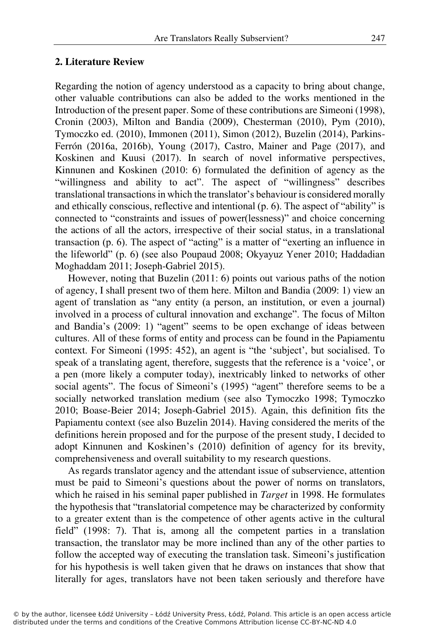### **2. Literature Review**

Regarding the notion of agency understood as a capacity to bring about change, other valuable contributions can also be added to the works mentioned in the Introduction of the present paper. Some of these contributions are Simeoni (1998), Cronin (2003), Milton and Bandia (2009), Chesterman (2010), Pym (2010), Tymoczko ed. (2010), Immonen (2011), Simon (2012), Buzelin (2014), Parkins-Ferrón (2016a, 2016b), Young (2017), Castro, Mainer and Page (2017), and Koskinen and Kuusi (2017). In search of novel informative perspectives, Kinnunen and Koskinen (2010: 6) formulated the definition of agency as the "willingness and ability to act". The aspect of "willingness" describes translational transactions in which the translator's behaviour is considered morally and ethically conscious, reflective and intentional (p. 6). The aspect of "ability" is connected to "constraints and issues of power(lessness)" and choice concerning the actions of all the actors, irrespective of their social status, in a translational transaction (p. 6). The aspect of "acting" is a matter of "exerting an influence in the lifeworld" (p. 6) (see also Poupaud 2008; Okyayuz Yener 2010; Haddadian Moghaddam 2011; Joseph-Gabriel 2015).

However, noting that Buzelin (2011: 6) points out various paths of the notion of agency, I shall present two of them here. Milton and Bandia (2009: 1) view an agent of translation as "any entity (a person, an institution, or even a journal) involved in a process of cultural innovation and exchange". The focus of Milton and Bandia's (2009: 1) "agent" seems to be open exchange of ideas between cultures. All of these forms of entity and process can be found in the Papiamentu context. For Simeoni (1995: 452), an agent is "the 'subject', but socialised. To speak of a translating agent, therefore, suggests that the reference is a 'voice', or a pen (more likely a computer today), inextricably linked to networks of other social agents". The focus of Simeoni's (1995) "agent" therefore seems to be a socially networked translation medium (see also Tymoczko 1998; Tymoczko 2010; Boase-Beier 2014; Joseph-Gabriel 2015). Again, this definition fits the Papiamentu context (see also Buzelin 2014). Having considered the merits of the definitions herein proposed and for the purpose of the present study, I decided to adopt Kinnunen and Koskinen's (2010) definition of agency for its brevity, comprehensiveness and overall suitability to my research questions.

As regards translator agency and the attendant issue of subservience, attention must be paid to Simeoni's questions about the power of norms on translators, which he raised in his seminal paper published in *Target* in 1998. He formulates the hypothesis that "translatorial competence may be characterized by conformity to a greater extent than is the competence of other agents active in the cultural field" (1998: 7). That is, among all the competent parties in a translation transaction, the translator may be more inclined than any of the other parties to follow the accepted way of executing the translation task. Simeoni's justification for his hypothesis is well taken given that he draws on instances that show that literally for ages, translators have not been taken seriously and therefore have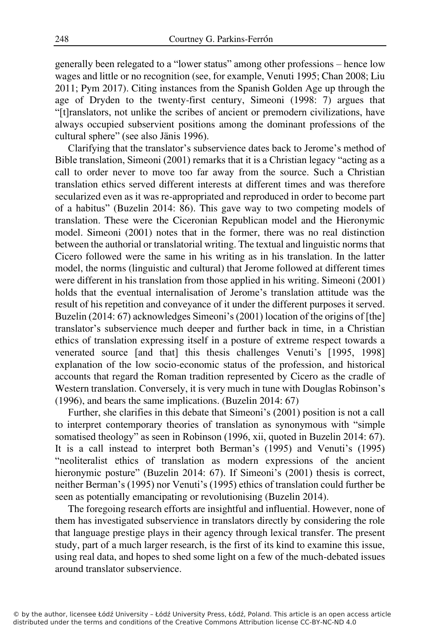generally been relegated to a "lower status" among other professions – hence low wages and little or no recognition (see, for example, Venuti 1995; Chan 2008; Liu 2011; Pym 2017). Citing instances from the Spanish Golden Age up through the age of Dryden to the twenty-first century, Simeoni (1998: 7) argues that "[t]ranslators, not unlike the scribes of ancient or premodern civilizations, have always occupied subservient positions among the dominant professions of the cultural sphere" (see also Jänis 1996).

Clarifying that the translator's subservience dates back to Jerome's method of Bible translation, Simeoni (2001) remarks that it is a Christian legacy "acting as a call to order never to move too far away from the source. Such a Christian translation ethics served different interests at different times and was therefore secularized even as it was re-appropriated and reproduced in order to become part of a habitus" (Buzelin 2014: 86). This gave way to two competing models of translation. These were the Ciceronian Republican model and the Hieronymic model. Simeoni (2001) notes that in the former, there was no real distinction between the authorial or translatorial writing. The textual and linguistic norms that Cicero followed were the same in his writing as in his translation. In the latter model, the norms (linguistic and cultural) that Jerome followed at different times were different in his translation from those applied in his writing. Simeoni (2001) holds that the eventual internalisation of Jerome's translation attitude was the result of his repetition and conveyance of it under the different purposes it served. Buzelin (2014: 67) acknowledges Simeoni's (2001) location of the origins of [the] translator's subservience much deeper and further back in time, in a Christian ethics of translation expressing itself in a posture of extreme respect towards a venerated source [and that] this thesis challenges Venuti's [1995, 1998] explanation of the low socio-economic status of the profession, and historical accounts that regard the Roman tradition represented by Cicero as the cradle of Western translation. Conversely, it is very much in tune with Douglas Robinson's (1996), and bears the same implications. (Buzelin 2014: 67)

Further, she clarifies in this debate that Simeoni's (2001) position is not a call to interpret contemporary theories of translation as synonymous with "simple somatised theology" as seen in Robinson (1996, xii, quoted in Buzelin 2014: 67). It is a call instead to interpret both Berman's (1995) and Venuti's (1995) "neoliteralist ethics of translation as modern expressions of the ancient hieronymic posture" (Buzelin 2014: 67). If Simeoni's (2001) thesis is correct, neither Berman's (1995) nor Venuti's (1995) ethics of translation could further be seen as potentially emancipating or revolutionising (Buzelin 2014).

The foregoing research efforts are insightful and influential. However, none of them has investigated subservience in translators directly by considering the role that language prestige plays in their agency through lexical transfer. The present study, part of a much larger research, is the first of its kind to examine this issue, using real data, and hopes to shed some light on a few of the much-debated issues around translator subservience.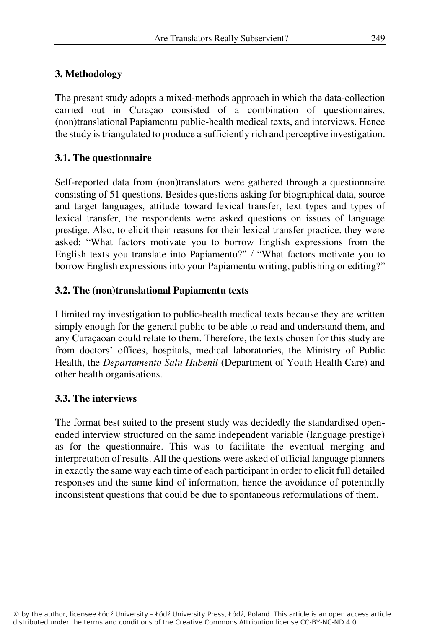## **3. Methodology**

The present study adopts a mixed-methods approach in which the data-collection carried out in Curaçao consisted of a combination of questionnaires, (non)translational Papiamentu public-health medical texts, and interviews. Hence the study is triangulated to produce a sufficiently rich and perceptive investigation.

## **3.1. The questionnaire**

Self-reported data from (non)translators were gathered through a questionnaire consisting of 51 questions. Besides questions asking for biographical data, source and target languages, attitude toward lexical transfer, text types and types of lexical transfer, the respondents were asked questions on issues of language prestige. Also, to elicit their reasons for their lexical transfer practice, they were asked: "What factors motivate you to borrow English expressions from the English texts you translate into Papiamentu?" / "What factors motivate you to borrow English expressions into your Papiamentu writing, publishing or editing?"

## **3.2. The (non)translational Papiamentu texts**

I limited my investigation to public-health medical texts because they are written simply enough for the general public to be able to read and understand them, and any Curaçaoan could relate to them. Therefore, the texts chosen for this study are from doctors' offices, hospitals, medical laboratories, the Ministry of Public Health, the *Departamento Salu Hubenil* (Department of Youth Health Care) and other health organisations.

## **3.3. The interviews**

The format best suited to the present study was decidedly the standardised openended interview structured on the same independent variable (language prestige) as for the questionnaire. This was to facilitate the eventual merging and interpretation of results. All the questions were asked of official language planners in exactly the same way each time of each participant in order to elicit full detailed responses and the same kind of information, hence the avoidance of potentially inconsistent questions that could be due to spontaneous reformulations of them.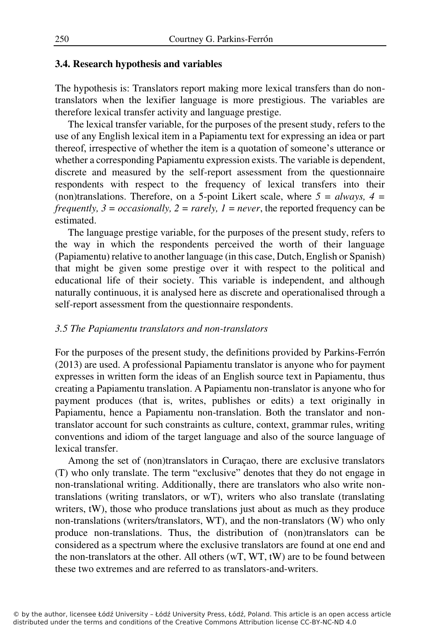### **3.4. Research hypothesis and variables**

The hypothesis is: Translators report making more lexical transfers than do nontranslators when the lexifier language is more prestigious. The variables are therefore lexical transfer activity and language prestige.

The lexical transfer variable, for the purposes of the present study, refers to the use of any English lexical item in a Papiamentu text for expressing an idea or part thereof, irrespective of whether the item is a quotation of someone's utterance or whether a corresponding Papiamentu expression exists. The variable is dependent, discrete and measured by the self-report assessment from the questionnaire respondents with respect to the frequency of lexical transfers into their (non)translations. Therefore, on a 5-point Likert scale, where  $5 = always$ ,  $4 =$ *frequently,*  $3 = \text{occasionally}$ *,*  $2 = \text{rarely}$ *,*  $1 = \text{never}$ *, the reported frequency can be* estimated.

The language prestige variable, for the purposes of the present study, refers to the way in which the respondents perceived the worth of their language (Papiamentu) relative to another language (in this case, Dutch, English or Spanish) that might be given some prestige over it with respect to the political and educational life of their society. This variable is independent, and although naturally continuous, it is analysed here as discrete and operationalised through a self-report assessment from the questionnaire respondents.

### *3.5 The Papiamentu translators and non-translators*

For the purposes of the present study, the definitions provided by Parkins-Ferrón (2013) are used. A professional Papiamentu translator is anyone who for payment expresses in written form the ideas of an English source text in Papiamentu, thus creating a Papiamentu translation. A Papiamentu non-translator is anyone who for payment produces (that is, writes, publishes or edits) a text originally in Papiamentu, hence a Papiamentu non-translation. Both the translator and nontranslator account for such constraints as culture, context, grammar rules, writing conventions and idiom of the target language and also of the source language of lexical transfer.

Among the set of (non)translators in Curaçao, there are exclusive translators (T) who only translate. The term "exclusive" denotes that they do not engage in non-translational writing. Additionally, there are translators who also write nontranslations (writing translators, or wT), writers who also translate (translating writers, tW), those who produce translations just about as much as they produce non-translations (writers/translators, WT), and the non-translators (W) who only produce non-translations. Thus, the distribution of (non)translators can be considered as a spectrum where the exclusive translators are found at one end and the non-translators at the other. All others  $(wT, WT, tW)$  are to be found between these two extremes and are referred to as translators-and-writers.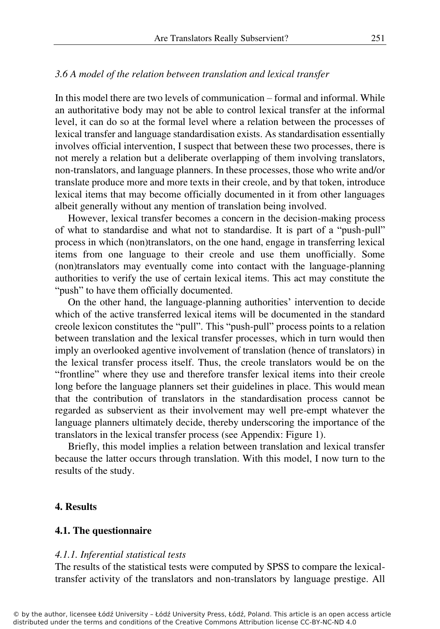#### *3.6 A model of the relation between translation and lexical transfer*

In this model there are two levels of communication – formal and informal. While an authoritative body may not be able to control lexical transfer at the informal level, it can do so at the formal level where a relation between the processes of lexical transfer and language standardisation exists. As standardisation essentially involves official intervention, I suspect that between these two processes, there is not merely a relation but a deliberate overlapping of them involving translators, non-translators, and language planners. In these processes, those who write and/or translate produce more and more texts in their creole, and by that token, introduce lexical items that may become officially documented in it from other languages albeit generally without any mention of translation being involved.

However, lexical transfer becomes a concern in the decision-making process of what to standardise and what not to standardise. It is part of a "push-pull" process in which (non)translators, on the one hand, engage in transferring lexical items from one language to their creole and use them unofficially. Some (non)translators may eventually come into contact with the language-planning authorities to verify the use of certain lexical items. This act may constitute the "push" to have them officially documented.

On the other hand, the language-planning authorities' intervention to decide which of the active transferred lexical items will be documented in the standard creole lexicon constitutes the "pull". This "push-pull" process points to a relation between translation and the lexical transfer processes, which in turn would then imply an overlooked agentive involvement of translation (hence of translators) in the lexical transfer process itself. Thus, the creole translators would be on the "frontline" where they use and therefore transfer lexical items into their creole long before the language planners set their guidelines in place. This would mean that the contribution of translators in the standardisation process cannot be regarded as subservient as their involvement may well pre-empt whatever the language planners ultimately decide, thereby underscoring the importance of the translators in the lexical transfer process (see Appendix: Figure 1).

Briefly, this model implies a relation between translation and lexical transfer because the latter occurs through translation. With this model, I now turn to the results of the study.

#### **4. Results**

#### **4.1. The questionnaire**

#### *4.1.1. Inferential statistical tests*

The results of the statistical tests were computed by SPSS to compare the lexicaltransfer activity of the translators and non-translators by language prestige. All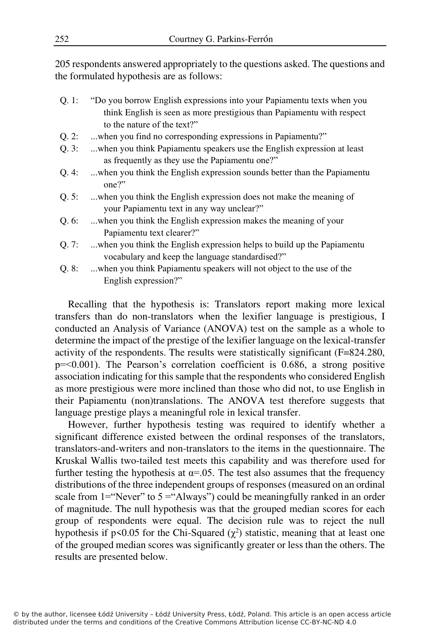205 respondents answered appropriately to the questions asked. The questions and the formulated hypothesis are as follows:

- Q. 1: "Do you borrow English expressions into your Papiamentu texts when you think English is seen as more prestigious than Papiamentu with respect to the nature of the text?"
- Q. 2: ...when you find no corresponding expressions in Papiamentu?"
- Q. 3: ...when you think Papiamentu speakers use the English expression at least as frequently as they use the Papiamentu one?"
- Q. 4: ...when you think the English expression sounds better than the Papiamentu one?"
- Q. 5: ...when you think the English expression does not make the meaning of your Papiamentu text in any way unclear?"
- Q. 6: ...when you think the English expression makes the meaning of your Papiamentu text clearer?"
- Q. 7: ...when you think the English expression helps to build up the Papiamentu vocabulary and keep the language standardised?"
- Q. 8: ...when you think Papiamentu speakers will not object to the use of the English expression?"

Recalling that the hypothesis is: Translators report making more lexical transfers than do non-translators when the lexifier language is prestigious, I conducted an Analysis of Variance (ANOVA) test on the sample as a whole to determine the impact of the prestige of the lexifier language on the lexical-transfer activity of the respondents. The results were statistically significant (F=824.280,  $p = 0.001$ ). The Pearson's correlation coefficient is 0.686, a strong positive association indicating for this sample that the respondents who considered English as more prestigious were more inclined than those who did not, to use English in their Papiamentu (non)translations. The ANOVA test therefore suggests that language prestige plays a meaningful role in lexical transfer.

However, further hypothesis testing was required to identify whether a significant difference existed between the ordinal responses of the translators, translators-and-writers and non-translators to the items in the questionnaire. The Kruskal Wallis two-tailed test meets this capability and was therefore used for further testing the hypothesis at  $\alpha$ =.05. The test also assumes that the frequency distributions of the three independent groups of responses (measured on an ordinal scale from  $1 =$ "Never" to  $5 =$ "Always") could be meaningfully ranked in an order of magnitude. The null hypothesis was that the grouped median scores for each group of respondents were equal. The decision rule was to reject the null hypothesis if  $p \le 0.05$  for the Chi-Squared ( $\chi^2$ ) statistic, meaning that at least one of the grouped median scores was significantly greater or less than the others. The results are presented below.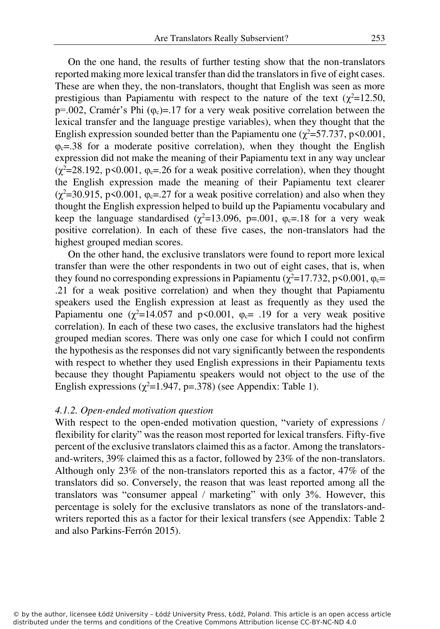On the one hand, the results of further testing show that the non-translators reported making more lexical transfer than did the translators in five of eight cases. These are when they, the non-translators, thought that English was seen as more prestigious than Papiamentu with respect to the nature of the text ( $\chi^2$ =12.50, p=.002, Cramér's Phi  $(\varphi_c)$ =.17 for a very weak positive correlation between the lexical transfer and the language prestige variables), when they thought that the English expression sounded better than the Papiamentu one ( $\chi^2$ =57.737, p<0.001,  $\varphi_c$ =.38 for a moderate positive correlation), when they thought the English expression did not make the meaning of their Papiamentu text in any way unclear  $(\chi^2=28.192, p\leq 0.001, \varphi_c=26$  for a weak positive correlation), when they thought the English expression made the meaning of their Papiamentu text clearer  $(\chi^2=30.915, p\leq 0.001, \varphi_c=27$  for a weak positive correlation) and also when they thought the English expression helped to build up the Papiamentu vocabulary and keep the language standardised ( $\chi^2$ =13.096, p=.001,  $\varphi$ <sub>c</sub>=.18 for a very weak positive correlation). In each of these five cases, the non-translators had the highest grouped median scores.

On the other hand, the exclusive translators were found to report more lexical transfer than were the other respondents in two out of eight cases, that is, when they found no corresponding expressions in Papiamentu ( $\chi^2$ =17.732, p<0.001,  $\varphi_c$ = .21 for a weak positive correlation) and when they thought that Papiamentu speakers used the English expression at least as frequently as they used the Papiamentu one ( $\chi^2$ =14.057 and p<0.001,  $\varphi_c$ = .19 for a very weak positive correlation). In each of these two cases, the exclusive translators had the highest grouped median scores. There was only one case for which I could not confirm the hypothesis as the responses did not vary significantly between the respondents with respect to whether they used English expressions in their Papiamentu texts because they thought Papiamentu speakers would not object to the use of the English expressions ( $\chi^2$ =1.947, p=.378) (see Appendix: Table 1).

#### *4.1.2. Open-ended motivation question*

With respect to the open-ended motivation question, "variety of expressions / flexibility for clarity" was the reason most reported for lexical transfers. Fifty-five percent of the exclusive translators claimed this as a factor. Among the translatorsand-writers, 39% claimed this as a factor, followed by 23% of the non-translators. Although only 23% of the non-translators reported this as a factor, 47% of the translators did so. Conversely, the reason that was least reported among all the translators was "consumer appeal / marketing" with only 3%. However, this percentage is solely for the exclusive translators as none of the translators-andwriters reported this as a factor for their lexical transfers (see Appendix: Table 2 and also Parkins-Ferrón 2015).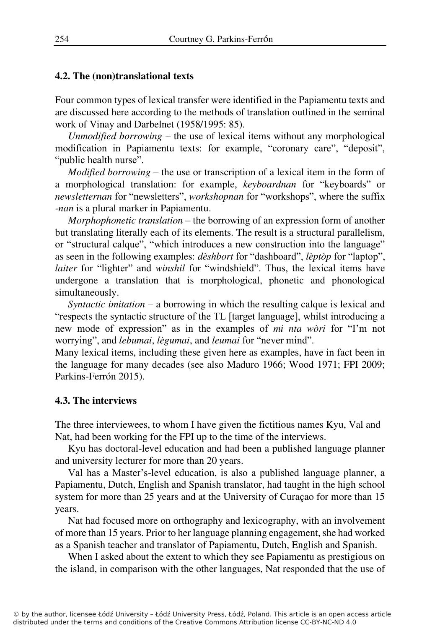### **4.2. The (non)translational texts**

Four common types of lexical transfer were identified in the Papiamentu texts and are discussed here according to the methods of translation outlined in the seminal work of Vinay and Darbelnet (1958/1995: 85).

*Unmodified borrowing –* the use of lexical items without any morphological modification in Papiamentu texts: for example, "coronary care", "deposit", "public health nurse".

*Modified borrowing –* the use or transcription of a lexical item in the form of a morphological translation: for example, *keyboardnan* for "keyboards" or *newsletternan* for "newsletters", *workshopnan* for "workshops", where the suffix *-nan* is a plural marker in Papiamentu.

*Morphophonetic translation –* the borrowing of an expression form of another but translating literally each of its elements. The result is a structural parallelism, or "structural calque", "which introduces a new construction into the language" as seen in the following examples: *dèshbort* for "dashboard", *lèptòp* for "laptop", *laiter* for "lighter" and *winshil* for "windshield". Thus, the lexical items have undergone a translation that is morphological, phonetic and phonological simultaneously.

*Syntactic imitation –* a borrowing in which the resulting calque is lexical and "respects the syntactic structure of the TL [target language], whilst introducing a new mode of expression" as in the examples of *mi nta wòri* for "I'm not worrying", and *lebumai*, *lègumai*, and *leumai* for "never mind".

Many lexical items, including these given here as examples, have in fact been in the language for many decades (see also Maduro 1966; Wood 1971; FPI 2009; Parkins-Ferrón 2015).

## **4.3. The interviews**

The three interviewees, to whom I have given the fictitious names Kyu, Val and Nat, had been working for the FPI up to the time of the interviews.

Kyu has doctoral-level education and had been a published language planner and university lecturer for more than 20 years.

Val has a Master's-level education, is also a published language planner, a Papiamentu, Dutch, English and Spanish translator, had taught in the high school system for more than 25 years and at the University of Curaçao for more than 15 years.

Nat had focused more on orthography and lexicography, with an involvement of more than 15 years. Prior to her language planning engagement, she had worked as a Spanish teacher and translator of Papiamentu, Dutch, English and Spanish.

When I asked about the extent to which they see Papiamentu as prestigious on the island, in comparison with the other languages, Nat responded that the use of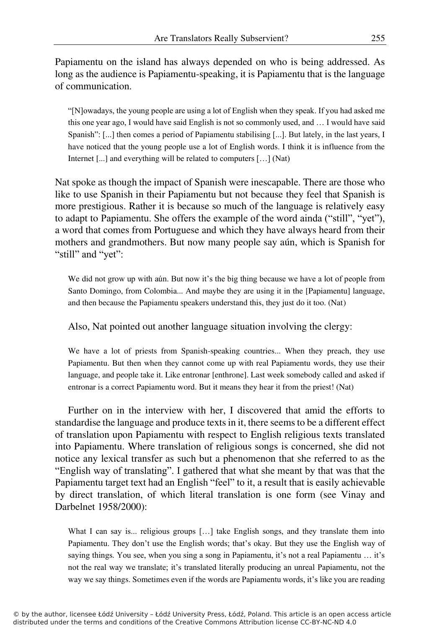Papiamentu on the island has always depended on who is being addressed. As long as the audience is Papiamentu-speaking, it is Papiamentu that is the language of communication.

"[N]owadays, the young people are using a lot of English when they speak. If you had asked me this one year ago, I would have said English is not so commonly used, and … I would have said Spanish": [...] then comes a period of Papiamentu stabilising [...]. But lately, in the last years, I have noticed that the young people use a lot of English words. I think it is influence from the Internet [...] and everything will be related to computers […] (Nat)

Nat spoke as though the impact of Spanish were inescapable. There are those who like to use Spanish in their Papiamentu but not because they feel that Spanish is more prestigious. Rather it is because so much of the language is relatively easy to adapt to Papiamentu. She offers the example of the word ainda ("still", "yet"), a word that comes from Portuguese and which they have always heard from their mothers and grandmothers. But now many people say aún, which is Spanish for "still" and "yet":

We did not grow up with aún. But now it's the big thing because we have a lot of people from Santo Domingo, from Colombia... And maybe they are using it in the [Papiamentu] language, and then because the Papiamentu speakers understand this, they just do it too. (Nat)

Also, Nat pointed out another language situation involving the clergy:

We have a lot of priests from Spanish-speaking countries... When they preach, they use Papiamentu. But then when they cannot come up with real Papiamentu words, they use their language, and people take it. Like entronar [enthrone]. Last week somebody called and asked if entronar is a correct Papiamentu word. But it means they hear it from the priest! (Nat)

Further on in the interview with her, I discovered that amid the efforts to standardise the language and produce texts in it, there seems to be a different effect of translation upon Papiamentu with respect to English religious texts translated into Papiamentu. Where translation of religious songs is concerned, she did not notice any lexical transfer as such but a phenomenon that she referred to as the "English way of translating". I gathered that what she meant by that was that the Papiamentu target text had an English "feel" to it, a result that is easily achievable by direct translation, of which literal translation is one form (see Vinay and Darbelnet 1958/2000):

What I can say is... religious groups [...] take English songs, and they translate them into Papiamentu. They don't use the English words; that's okay. But they use the English way of saying things. You see, when you sing a song in Papiamentu, it's not a real Papiamentu … it's not the real way we translate; it's translated literally producing an unreal Papiamentu, not the way we say things. Sometimes even if the words are Papiamentu words, it's like you are reading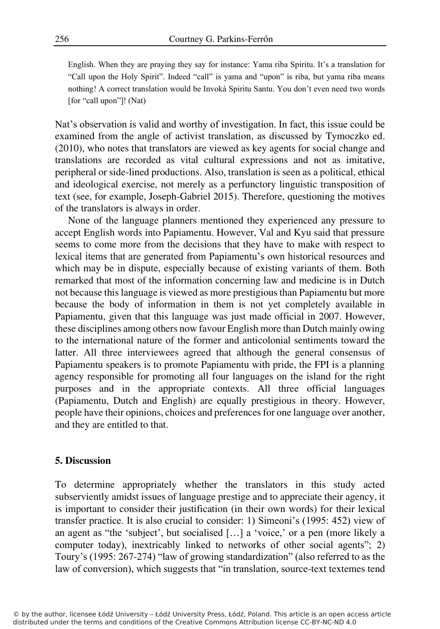English. When they are praying they say for instance: Yama riba Spiritu. It's a translation for "Call upon the Holy Spirit". Indeed "call" is yama and "upon" is riba, but yama riba means nothing! A correct translation would be Invoká Spiritu Santu. You don't even need two words [for "call upon"]! (Nat)

Nat's observation is valid and worthy of investigation. In fact, this issue could be examined from the angle of activist translation, as discussed by Tymoczko ed. (2010), who notes that translators are viewed as key agents for social change and translations are recorded as vital cultural expressions and not as imitative, peripheral or side-lined productions. Also, translation is seen as a political, ethical and ideological exercise, not merely as a perfunctory linguistic transposition of text (see, for example, Joseph-Gabriel 2015). Therefore, questioning the motives of the translators is always in order.

None of the language planners mentioned they experienced any pressure to accept English words into Papiamentu. However, Val and Kyu said that pressure seems to come more from the decisions that they have to make with respect to lexical items that are generated from Papiamentu's own historical resources and which may be in dispute, especially because of existing variants of them. Both remarked that most of the information concerning law and medicine is in Dutch not because this language is viewed as more prestigious than Papiamentu but more because the body of information in them is not yet completely available in Papiamentu, given that this language was just made official in 2007. However, these disciplines among others now favour English more than Dutch mainly owing to the international nature of the former and anticolonial sentiments toward the latter. All three interviewees agreed that although the general consensus of Papiamentu speakers is to promote Papiamentu with pride, the FPI is a planning agency responsible for promoting all four languages on the island for the right purposes and in the appropriate contexts. All three official languages (Papiamentu, Dutch and English) are equally prestigious in theory. However, people have their opinions, choices and preferences for one language over another, and they are entitled to that.

#### **5. Discussion**

To determine appropriately whether the translators in this study acted subserviently amidst issues of language prestige and to appreciate their agency, it is important to consider their justification (in their own words) for their lexical transfer practice. It is also crucial to consider: 1) Simeoni's (1995: 452) view of an agent as "the 'subject', but socialised […] a 'voice,' or a pen (more likely a computer today), inextricably linked to networks of other social agents"; 2) Toury's (1995: 267-274) "law of growing standardization" (also referred to as the law of conversion), which suggests that "in translation, source-text textemes tend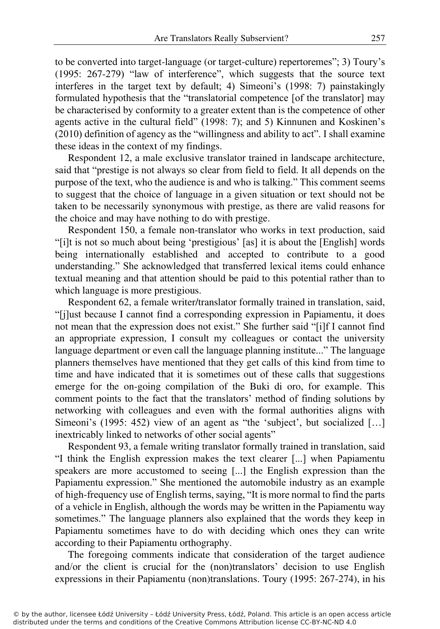to be converted into target-language (or target-culture) repertoremes"; 3) Toury's (1995: 267-279) "law of interference", which suggests that the source text interferes in the target text by default; 4) Simeoni's (1998: 7) painstakingly formulated hypothesis that the "translatorial competence [of the translator] may be characterised by conformity to a greater extent than is the competence of other agents active in the cultural field" (1998: 7); and 5) Kinnunen and Koskinen's (2010) definition of agency as the "willingness and ability to act". I shall examine these ideas in the context of my findings.

Respondent 12, a male exclusive translator trained in landscape architecture, said that "prestige is not always so clear from field to field. It all depends on the purpose of the text, who the audience is and who is talking." This comment seems to suggest that the choice of language in a given situation or text should not be taken to be necessarily synonymous with prestige, as there are valid reasons for the choice and may have nothing to do with prestige.

Respondent 150, a female non-translator who works in text production, said "[i]t is not so much about being 'prestigious' [as] it is about the [English] words being internationally established and accepted to contribute to a good understanding." She acknowledged that transferred lexical items could enhance textual meaning and that attention should be paid to this potential rather than to which language is more prestigious.

Respondent 62, a female writer/translator formally trained in translation, said, "[j]ust because I cannot find a corresponding expression in Papiamentu, it does not mean that the expression does not exist." She further said "[i]f I cannot find an appropriate expression, I consult my colleagues or contact the university language department or even call the language planning institute..." The language planners themselves have mentioned that they get calls of this kind from time to time and have indicated that it is sometimes out of these calls that suggestions emerge for the on-going compilation of the Buki di oro, for example. This comment points to the fact that the translators' method of finding solutions by networking with colleagues and even with the formal authorities aligns with Simeoni's (1995: 452) view of an agent as "the 'subject', but socialized […] inextricably linked to networks of other social agents"

Respondent 93, a female writing translator formally trained in translation, said "I think the English expression makes the text clearer [...] when Papiamentu speakers are more accustomed to seeing [...] the English expression than the Papiamentu expression." She mentioned the automobile industry as an example of high-frequency use of English terms, saying, "It is more normal to find the parts of a vehicle in English, although the words may be written in the Papiamentu way sometimes." The language planners also explained that the words they keep in Papiamentu sometimes have to do with deciding which ones they can write according to their Papiamentu orthography.

The foregoing comments indicate that consideration of the target audience and/or the client is crucial for the (non)translators' decision to use English expressions in their Papiamentu (non)translations. Toury (1995: 267-274), in his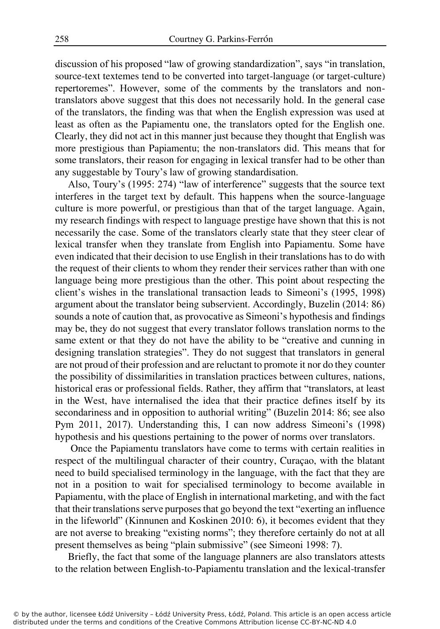discussion of his proposed "law of growing standardization", says "in translation, source-text textemes tend to be converted into target-language (or target-culture) repertoremes". However, some of the comments by the translators and nontranslators above suggest that this does not necessarily hold. In the general case of the translators, the finding was that when the English expression was used at least as often as the Papiamentu one, the translators opted for the English one. Clearly, they did not act in this manner just because they thought that English was more prestigious than Papiamentu; the non-translators did. This means that for some translators, their reason for engaging in lexical transfer had to be other than any suggestable by Toury's law of growing standardisation.

Also, Toury's (1995: 274) "law of interference" suggests that the source text interferes in the target text by default. This happens when the source-language culture is more powerful, or prestigious than that of the target language. Again, my research findings with respect to language prestige have shown that this is not necessarily the case. Some of the translators clearly state that they steer clear of lexical transfer when they translate from English into Papiamentu. Some have even indicated that their decision to use English in their translations has to do with the request of their clients to whom they render their services rather than with one language being more prestigious than the other. This point about respecting the client's wishes in the translational transaction leads to Simeoni's (1995, 1998) argument about the translator being subservient. Accordingly, Buzelin (2014: 86) sounds a note of caution that, as provocative as Simeoni's hypothesis and findings may be, they do not suggest that every translator follows translation norms to the same extent or that they do not have the ability to be "creative and cunning in designing translation strategies". They do not suggest that translators in general are not proud of their profession and are reluctant to promote it nor do they counter the possibility of dissimilarities in translation practices between cultures, nations, historical eras or professional fields. Rather, they affirm that "translators, at least in the West, have internalised the idea that their practice defines itself by its secondariness and in opposition to authorial writing" (Buzelin 2014: 86; see also Pym 2011, 2017). Understanding this, I can now address Simeoni's (1998) hypothesis and his questions pertaining to the power of norms over translators.

 Once the Papiamentu translators have come to terms with certain realities in respect of the multilingual character of their country, Curaçao, with the blatant need to build specialised terminology in the language, with the fact that they are not in a position to wait for specialised terminology to become available in Papiamentu, with the place of English in international marketing, and with the fact that their translations serve purposes that go beyond the text "exerting an influence in the lifeworld" (Kinnunen and Koskinen 2010: 6), it becomes evident that they are not averse to breaking "existing norms"; they therefore certainly do not at all present themselves as being "plain submissive" (see Simeoni 1998: 7).

Briefly, the fact that some of the language planners are also translators attests to the relation between English-to-Papiamentu translation and the lexical-transfer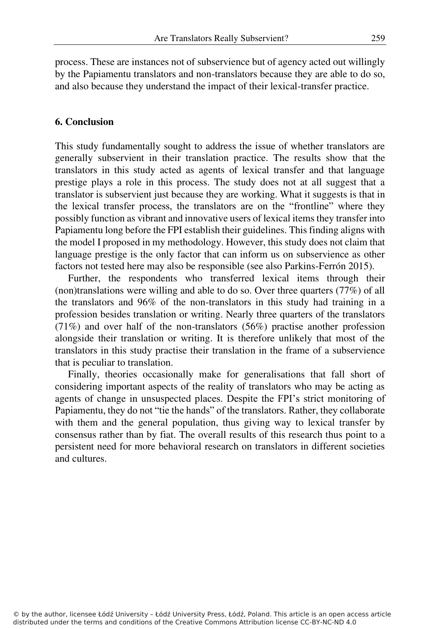process. These are instances not of subservience but of agency acted out willingly by the Papiamentu translators and non-translators because they are able to do so, and also because they understand the impact of their lexical-transfer practice.

#### **6. Conclusion**

This study fundamentally sought to address the issue of whether translators are generally subservient in their translation practice. The results show that the translators in this study acted as agents of lexical transfer and that language prestige plays a role in this process. The study does not at all suggest that a translator is subservient just because they are working. What it suggests is that in the lexical transfer process, the translators are on the "frontline" where they possibly function as vibrant and innovative users of lexical items they transfer into Papiamentu long before the FPI establish their guidelines. This finding aligns with the model I proposed in my methodology. However, this study does not claim that language prestige is the only factor that can inform us on subservience as other factors not tested here may also be responsible (see also Parkins-Ferrón 2015).

Further, the respondents who transferred lexical items through their (non)translations were willing and able to do so. Over three quarters (77%) of all the translators and 96% of the non-translators in this study had training in a profession besides translation or writing. Nearly three quarters of the translators (71%) and over half of the non-translators (56%) practise another profession alongside their translation or writing. It is therefore unlikely that most of the translators in this study practise their translation in the frame of a subservience that is peculiar to translation.

Finally, theories occasionally make for generalisations that fall short of considering important aspects of the reality of translators who may be acting as agents of change in unsuspected places. Despite the FPI's strict monitoring of Papiamentu, they do not "tie the hands" of the translators. Rather, they collaborate with them and the general population, thus giving way to lexical transfer by consensus rather than by fiat. The overall results of this research thus point to a persistent need for more behavioral research on translators in different societies and cultures.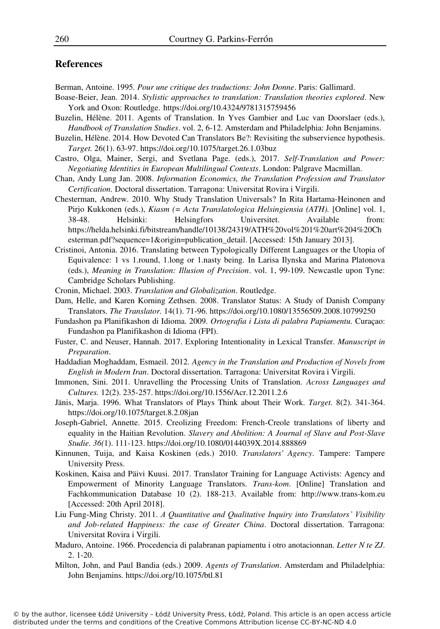#### **References**

Berman, Antoine. 1995*. Pour une critique des traductions: John Donne*. Paris: Gallimard.

- Boase-Beier, Jean. 2014. *Stylistic approaches to translation: Translation theories explored*. New York and Oxon: Routledge. https://doi.org/10.4324/9781315759456
- Buzelin, Hélène. 2011. Agents of Translation. In Yves Gambier and Luc van Doorslaer (eds.), *Handbook of Translation Studies*. vol. 2, 6-12. Amsterdam and Philadelphia: John Benjamins.
- Buzelin, Hélène. 2014. How Devoted Can Translators Be?: Revisiting the subservience hypothesis. *Target.* 26(1). 63-97. https://doi.org/10.1075/target.26.1.03buz
- Castro, Olga, Mainer, Sergi, and Svetlana Page. (eds.), 2017. *Self-Translation and Power: Negotiating Identities in European Multilingual Contexts*. London: Palgrave Macmillan.
- Chan, Andy Lung Jan. 2008. *Information Economics, the Translation Profession and Translator Certification.* Doctoral dissertation. Tarragona: Universitat Rovira i Virgili.
- Chesterman, Andrew. 2010. Why Study Translation Universals? In Rita Hartama-Heinonen and Pirjo Kukkonen (eds.), *Kiasm (= Acta Translatologica Helsingiensia (ATH).* [Online] vol. 1, 38-48. Helsinki: Helsingfors Universitet. Available from: https://helda.helsinki.fi/bitstream/handle/10138/24319/ATH%20vol%201%20art%204%20Ch esterman.pdf?sequence=1&origin=publication\_detail. [Accessed: 15th January 2013].
- Cristinoi, Antonia. 2016. Translating between Typologically Different Languages or the Utopia of Equivalence: 1 vs 1.round, 1.long or 1.nasty being. In Larisa Ilynska and Marina Platonova (eds.), *Meaning in Translation: Illusion of Precision*. vol. 1, 99-109. Newcastle upon Tyne: Cambridge Scholars Publishing.
- Cronin, Michael. 2003. *Translation and Globalization*. Routledge.
- Dam, Helle, and Karen Korning Zethsen. 2008. Translator Status: A Study of Danish Company Translators. *The Translator.* 14(1). 71-96. https://doi.org/10.1080/13556509.2008.10799250
- Fundashon pa Planifikashon di Idioma. 2009. *Ortografia i Lista di palabra Papiamentu.* Curaçao: Fundashon pa Planifikashon di Idioma (FPI).
- Fuster, C. and Neuser, Hannah. 2017. Exploring Intentionality in Lexical Transfer. *Manuscript in Preparation*.
- Haddadian Moghaddam, Esmaeil. 2012. *Agency in the Translation and Production of Novels from English in Modern Iran*. Doctoral dissertation. Tarragona: Universitat Rovira i Virgili.
- Immonen, Sini. 2011. Unravelling the Processing Units of Translation. *Across Languages and Cultures.* 12(2). 235-257. https://doi.org/10.1556/Acr.12.2011.2.6
- Jänis, Marja. 1996. What Translators of Plays Think about Their Work. *Target.* 8(2). 341-364. https://doi.org/10.1075/target.8.2.08jan
- Joseph-Gabriel, Annette. 2015. Creolizing Freedom: French-Creole translations of liberty and equality in the Haitian Revolution. *Slavery and Abolition: A Journal of Slave and Post-Slave Studie. 36(*1). 111-123. https://doi.org/10.1080/0144039X.2014.888869
- Kinnunen, Tuija, and Kaisa Koskinen (eds.) 2010. *Translators' Agency*. Tampere: Tampere University Press.
- Koskinen, Kaisa and Päivi Kuusi. 2017. Translator Training for Language Activists: Agency and Empowerment of Minority Language Translators. *Trans-kom*. [Online] Translation and Fachkommunication Database 10 (2). 188-213. Available from: http://www.trans-kom.eu [Accessed: 20th April 2018].
- Liu Fung-Ming Christy. 2011. *A Quantitative and Qualitative Inquiry into Translators' Visibility and Job-related Happiness: the case of Greater China*. Doctoral dissertation. Tarragona: Universitat Rovira i Virgili.
- Maduro, Antoine. 1966. Procedencia di palabranan papiamentu i otro anotacionnan. *Letter N te ZJ*. 2. 1-20.
- Milton, John, and Paul Bandia (eds.) 2009. *Agents of Translation*. Amsterdam and Philadelphia: John Benjamins. https://doi.org/10.1075/btl.81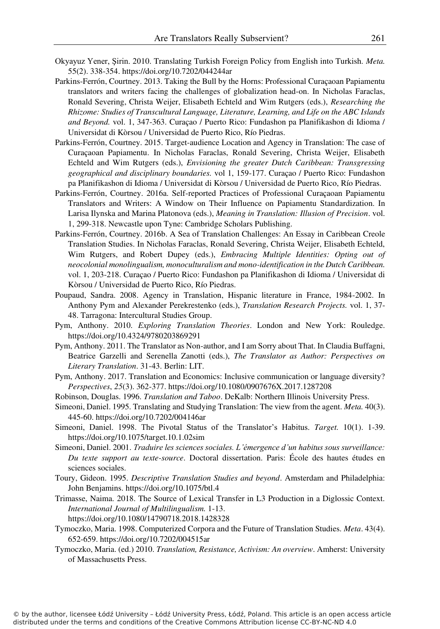- Okyayuz Yener, Şirin. 2010. Translating Turkish Foreign Policy from English into Turkish. *Meta.*  55(2). 338-354. https://doi.org/10.7202/044244ar
- Parkins-Ferrón, Courtney. 2013. Taking the Bull by the Horns: Professional Curaçaoan Papiamentu translators and writers facing the challenges of globalization head-on. In Nicholas Faraclas, Ronald Severing, Christa Weijer, Elisabeth Echteld and Wim Rutgers (eds.), *Researching the Rhizome: Studies of Transcultural Language, Literature, Learning, and Life on the ABC Islands and Beyond.* vol. 1, 347-363. Curaçao / Puerto Rico: Fundashon pa Planifikashon di Idioma / Universidat di Kòrsou / Universidad de Puerto Rico, Río Piedras.
- Parkins-Ferrón, Courtney. 2015. Target-audience Location and Agency in Translation: The case of Curaçaoan Papiamentu. In Nicholas Faraclas, Ronald Severing, Christa Weijer, Elisabeth Echteld and Wim Rutgers (eds.), *Envisioning the greater Dutch Caribbean: Transgressing geographical and disciplinary boundaries.* vol 1, 159-177. Curaçao / Puerto Rico: Fundashon pa Planifikashon di Idioma / Universidat di Kòrsou / Universidad de Puerto Rico, Río Piedras.
- Parkins-Ferrón, Courtney. 2016a. Self-reported Practices of Professional Curaçaoan Papiamentu Translators and Writers: A Window on Their Influence on Papiamentu Standardization. In Larisa Ilynska and Marina Platonova (eds.), *Meaning in Translation: Illusion of Precision*. vol. 1, 299-318. Newcastle upon Tyne: Cambridge Scholars Publishing.
- Parkins-Ferrón, Courtney. 2016b. A Sea of Translation Challenges: An Essay in Caribbean Creole Translation Studies. In Nicholas Faraclas, Ronald Severing, Christa Weijer, Elisabeth Echteld, Wim Rutgers, and Robert Dupey (eds.), *Embracing Multiple Identities: Opting out of neocolonial monolingualism, monoculturalism and mono-identification in the Dutch Caribbean.*  vol. 1, 203-218. Curaçao / Puerto Rico: Fundashon pa Planifikashon di Idioma / Universidat di Kòrsou / Universidad de Puerto Rico, Río Piedras.
- Poupaud, Sandra. 2008. Agency in Translation, Hispanic literature in France, 1984-2002. In Anthony Pym and Alexander Perekrestenko (eds.), *Translation Research Projects.* vol. 1, 37- 48. Tarragona: Intercultural Studies Group.
- Pym, Anthony. 2010. *Exploring Translation Theories*. London and New York: Rouledge. https://doi.org/10.4324/9780203869291
- Pym, Anthony. 2011. The Translator as Non-author, and I am Sorry about That. In Claudia Buffagni, Beatrice Garzelli and Serenella Zanotti (eds.), *The Translator as Author: Perspectives on Literary Translation*. 31-43. Berlin: LIT.
- Pym, Anthony. 2017. Translation and Economics: Inclusive communication or language diversity? *Perspectives*, *25*(3). 362-377. https://doi.org/10.1080/0907676X.2017.1287208
- Robinson, Douglas. 1996. *Translation and Taboo*. DeKalb: Northern Illinois University Press.
- Simeoni, Daniel. 1995. Translating and Studying Translation: The view from the agent. *Meta.* 40(3). 445-60. https://doi.org/10.7202/004146ar
- Simeoni, Daniel. 1998. The Pivotal Status of the Translator's Habitus. *Target.* 10(1). 1-39. https://doi.org/10.1075/target.10.1.02sim
- Simeoni, Daniel. 2001. *Traduire les sciences sociales. L'émergence d'un habitus sous surveillance: Du texte support au texte-source*. Doctoral dissertation. Paris: École des hautes études en sciences sociales.
- Toury, Gideon. 1995. *Descriptive Translation Studies and beyond*. Amsterdam and Philadelphia: John Benjamins. https://doi.org/10.1075/btl.4
- Trimasse, Naima. 2018. The Source of Lexical Transfer in L3 Production in a Diglossic Context. *International Journal of Multilingualism.* 1-13.

https://doi.org/10.1080/14790718.2018.1428328

- Tymoczko, Maria. 1998. Computerized Corpora and the Future of Translation Studies. *Meta*. 43(4). 652-659. https://doi.org/10.7202/004515ar
- Tymoczko, Maria. (ed.) 2010. *Translation, Resistance, Activism: An overview*. Amherst: University of Massachusetts Press.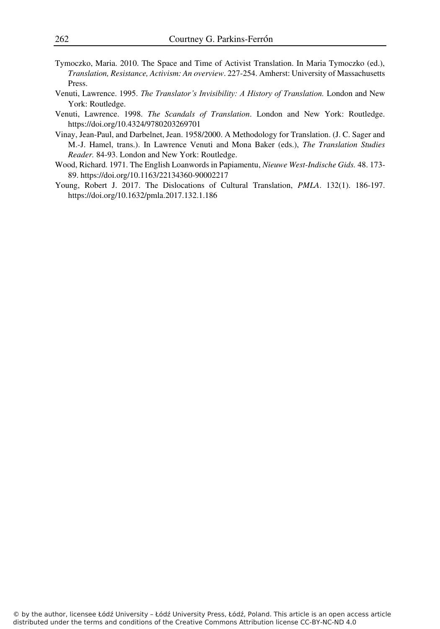- Tymoczko, Maria. 2010. The Space and Time of Activist Translation. In Maria Tymoczko (ed.), *Translation, Resistance, Activism: An overview*. 227-254. Amherst: University of Massachusetts Press.
- Venuti, Lawrence. 1995. *The Translator's Invisibility: A History of Translation.* London and New York: Routledge.
- Venuti, Lawrence. 1998. *The Scandals of Translation*. London and New York: Routledge. https://doi.org/10.4324/9780203269701
- Vinay, Jean-Paul, and Darbelnet, Jean. 1958/2000. A Methodology for Translation. (J. C. Sager and M.-J. Hamel, trans.). In Lawrence Venuti and Mona Baker (eds.), *The Translation Studies Reader.* 84-93. London and New York: Routledge.
- Wood, Richard. 1971. The English Loanwords in Papiamentu, *Nieuwe West-Indische Gids.* 48. 173- 89. https://doi.org/10.1163/22134360-90002217
- Young, Robert J. 2017. The Dislocations of Cultural Translation, *PMLA*. 132(1). 186-197. https://doi.org/10.1632/pmla.2017.132.1.186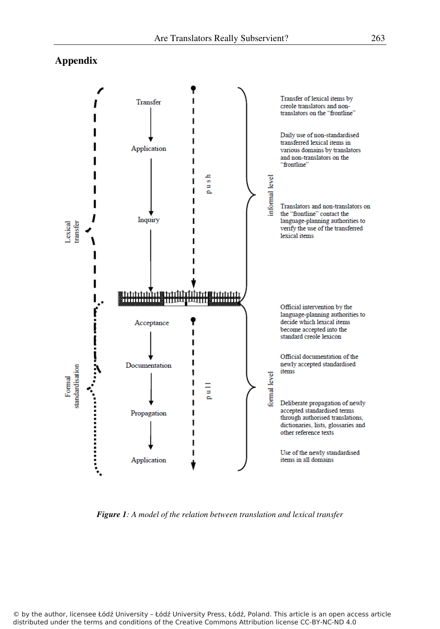## **Appendix**



*Figure 1: A model of the relation between translation and lexical transfer* 

© by the author, licensee Łódź University – Łódź University Press, Łódź, Poland. This article is an open access article distributed under the terms and conditions of the Creative Commons Attribution license CC-BY-NC-ND 4.0